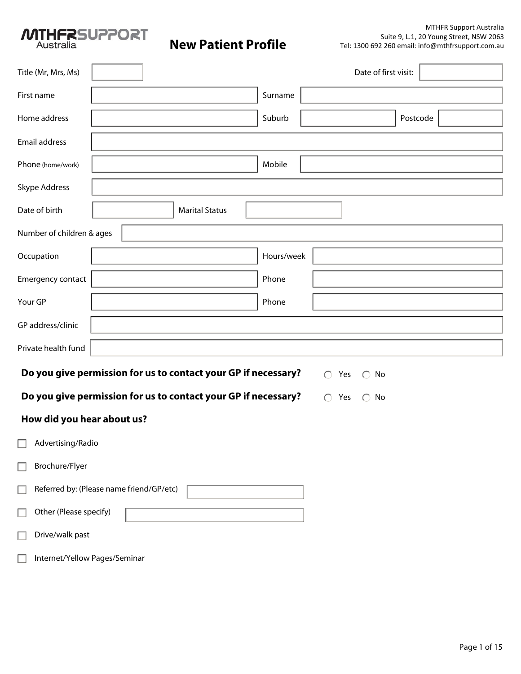

| Title (Mr, Mrs, Ms)           |                                          |                                                                |            | Date of first visit:            |  |  |  |  |  |  |
|-------------------------------|------------------------------------------|----------------------------------------------------------------|------------|---------------------------------|--|--|--|--|--|--|
| First name                    |                                          |                                                                | Surname    |                                 |  |  |  |  |  |  |
| Home address                  |                                          |                                                                | Suburb     | Postcode                        |  |  |  |  |  |  |
| Email address                 |                                          |                                                                |            |                                 |  |  |  |  |  |  |
| Phone (home/work)             |                                          |                                                                | Mobile     |                                 |  |  |  |  |  |  |
| Skype Address                 |                                          |                                                                |            |                                 |  |  |  |  |  |  |
| Date of birth                 |                                          | <b>Marital Status</b>                                          |            |                                 |  |  |  |  |  |  |
| Number of children & ages     |                                          |                                                                |            |                                 |  |  |  |  |  |  |
| Occupation                    |                                          |                                                                | Hours/week |                                 |  |  |  |  |  |  |
| Emergency contact             |                                          |                                                                | Phone      |                                 |  |  |  |  |  |  |
| Your GP                       |                                          |                                                                | Phone      |                                 |  |  |  |  |  |  |
| GP address/clinic             |                                          |                                                                |            |                                 |  |  |  |  |  |  |
| Private health fund           |                                          |                                                                |            |                                 |  |  |  |  |  |  |
|                               |                                          | Do you give permission for us to contact your GP if necessary? |            | $\bigcirc$ Yes<br>$\bigcirc$ No |  |  |  |  |  |  |
|                               |                                          | Do you give permission for us to contact your GP if necessary? |            | $\bigcirc$ Yes<br>$\bigcirc$ No |  |  |  |  |  |  |
| How did you hear about us?    |                                          |                                                                |            |                                 |  |  |  |  |  |  |
| $\Box$ Advertising/Radio      |                                          |                                                                |            |                                 |  |  |  |  |  |  |
| Brochure/Flyer                |                                          |                                                                |            |                                 |  |  |  |  |  |  |
|                               | Referred by: (Please name friend/GP/etc) |                                                                |            |                                 |  |  |  |  |  |  |
| Other (Please specify)        |                                          |                                                                |            |                                 |  |  |  |  |  |  |
| Drive/walk past               |                                          |                                                                |            |                                 |  |  |  |  |  |  |
| Internet/Yellow Pages/Seminar |                                          |                                                                |            |                                 |  |  |  |  |  |  |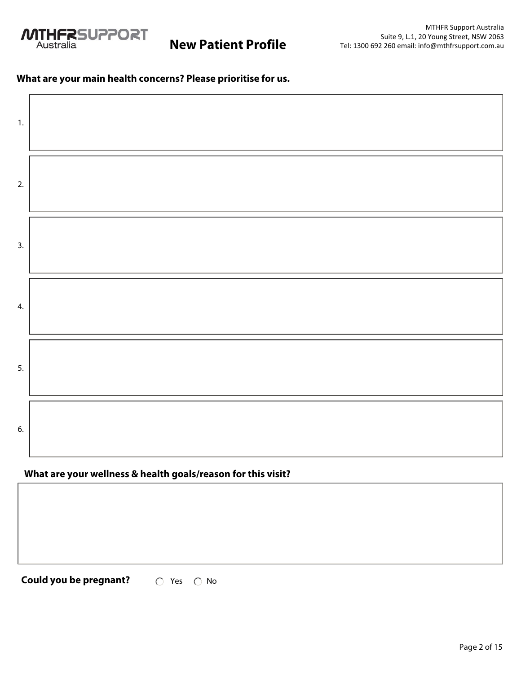

## **What are your main health concerns? Please prioritise for us.**

| 1.               |  |
|------------------|--|
| 2.               |  |
| $\overline{3}$ . |  |
| 4.               |  |
| 5.               |  |
| 6.               |  |

# **What are your wellness & health goals/reason for this visit?**

**Could you be pregnant?**  $\bigcirc$  Yes  $\bigcirc$  No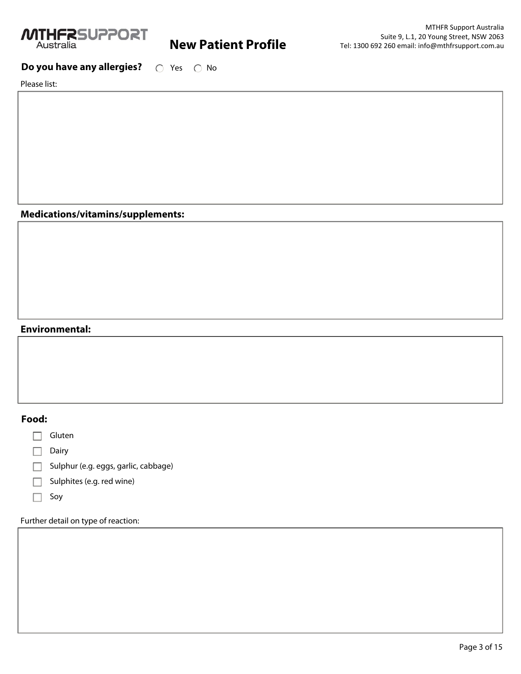

# **Do you have any allergies?**  $\bigcirc$  Yes  $\bigcirc$  No

Please list:

### **Medications/vitamins/supplements:**

### **Environmental:**

### **Food:**

 $\Box$  Gluten

 $\Box$  Dairy

Sulphur (e.g. eggs, garlic, cabbage)

 $\Box$  Sulphites (e.g. red wine)

 $\Box$  Soy

Further detail on type of reaction: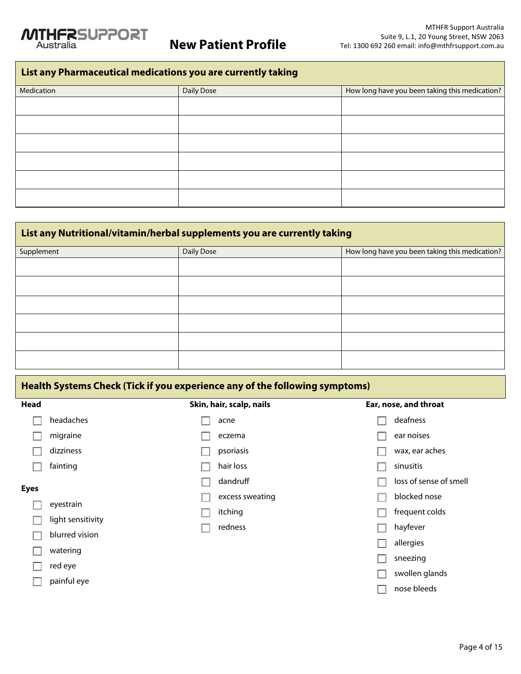

# **List any Pharmaceutical medications you are currently taking**

| Medication | Daily Dose | How long have you been taking this medication? |
|------------|------------|------------------------------------------------|
|            |            |                                                |
|            |            |                                                |
|            |            |                                                |
|            |            |                                                |
|            |            |                                                |
|            |            |                                                |

| List any Nutritional/vitamin/herbal supplements you are currently taking |            |                                                |  |  |  |  |  |  |
|--------------------------------------------------------------------------|------------|------------------------------------------------|--|--|--|--|--|--|
| Supplement                                                               | Daily Dose | How long have you been taking this medication? |  |  |  |  |  |  |
|                                                                          |            |                                                |  |  |  |  |  |  |
|                                                                          |            |                                                |  |  |  |  |  |  |
|                                                                          |            |                                                |  |  |  |  |  |  |
|                                                                          |            |                                                |  |  |  |  |  |  |
|                                                                          |            |                                                |  |  |  |  |  |  |
|                                                                          |            |                                                |  |  |  |  |  |  |

| Health Systems Check (Tick if you experience any of the following symptoms) |                                |                          |                        |  |  |  |  |  |  |
|-----------------------------------------------------------------------------|--------------------------------|--------------------------|------------------------|--|--|--|--|--|--|
| Head                                                                        |                                | Skin, hair, scalp, nails | Ear, nose, and throat  |  |  |  |  |  |  |
|                                                                             | headaches                      | acne                     | deafness               |  |  |  |  |  |  |
|                                                                             | migraine                       | eczema                   | ear noises             |  |  |  |  |  |  |
|                                                                             | dizziness                      | psoriasis                | wax, ear aches         |  |  |  |  |  |  |
|                                                                             | fainting                       | hair loss                | sinusitis              |  |  |  |  |  |  |
| <b>Eyes</b>                                                                 |                                | dandruff                 | loss of sense of smell |  |  |  |  |  |  |
|                                                                             |                                | excess sweating          | blocked nose           |  |  |  |  |  |  |
|                                                                             | eyestrain<br>light sensitivity | itching                  | frequent colds         |  |  |  |  |  |  |
|                                                                             |                                | redness                  | hayfever               |  |  |  |  |  |  |
|                                                                             | blurred vision                 |                          | allergies              |  |  |  |  |  |  |
|                                                                             | watering                       |                          | sneezing               |  |  |  |  |  |  |
|                                                                             | red eye                        |                          |                        |  |  |  |  |  |  |
|                                                                             | painful eye                    |                          | swollen glands         |  |  |  |  |  |  |
|                                                                             |                                |                          | nose bleeds            |  |  |  |  |  |  |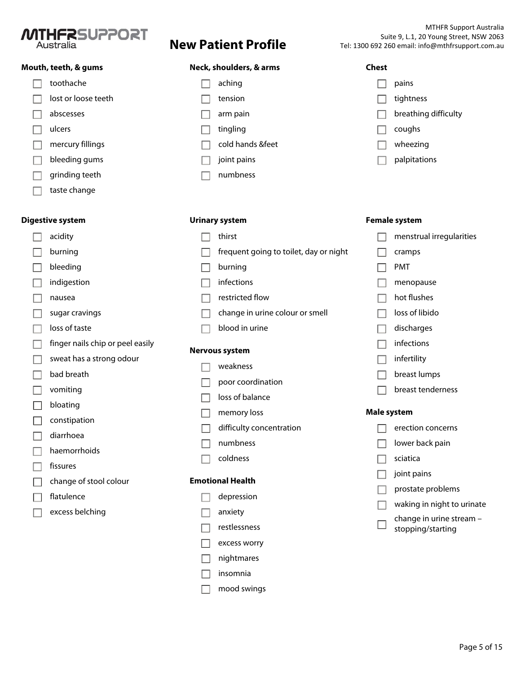

### **Mouth, teeth, & gums**

| toothache           |
|---------------------|
| lost or loose teeth |
| abscesses           |
| ulcers              |
| mercury fillings    |
| bleeding gums       |
| grinding teeth      |
| taste change        |

### **Digestive system**

|                          | acidity                          |
|--------------------------|----------------------------------|
| $\blacksquare$           | burning                          |
| 그                        | bleeding                         |
| $\mathsf{L}$             | indigestion                      |
| $\Box$                   | nausea                           |
| $\Box$                   | sugar cravings                   |
| $\mathsf{L}$             | loss of taste                    |
| $\overline{\phantom{a}}$ | finger nails chip or peel easily |
| $\blacksquare$           | sweat has a strong odour         |
| П                        | bad breath                       |
| $\Box$                   | vomiting                         |
| コ                        | bloating                         |
| П                        | constipation                     |
| Ιl                       | diarrhoea                        |
| $\mathbb{R}$             | haemorrhoids                     |
| $\mathbb{R}$             | fissures                         |
| $\mathcal{L}$            | change of stool colour           |
| $\blacksquare$           | flatulence                       |
|                          | excess belching                  |
|                          |                                  |
|                          |                                  |

### **Neck, shoulders, & arms**

| aching           |
|------------------|
| tension          |
| arm pain         |
| tingling         |
| cold hands &feet |
| joint pains      |
| numhness         |

### **Urinary system**

# $\Box$  thirst  $\Box$  frequent going to toilet, day or night  $\Box$  burning

- $\Box$  infections
- $\Box$  restricted flow
- $\Box$  change in urine colour or smell
- $\Box$  blood in urine

### **Nervous system**

- $\Box$  weakness
- $\Box$  poor coordination
- $\Box$  loss of balance
- $\Box$  memory loss
- $\Box$  difficulty concentration
- $\Box$  numbness
- $\Box$  coldness

### **Emotional Health**

- $\Box$  depression
- **nanxiety**
- $\Box$  restlessness
- $\Box$  excess worry
- $\Box$  nightmares
- $\Box$  insomnia
- mood swings $\Box$

### **Chest**

| pains                |
|----------------------|
| tightness            |
| breathing difficulty |
| coughs               |
| wheezing             |
| palpitations         |

|                          | Female system            |
|--------------------------|--------------------------|
|                          | menstrual irregularities |
|                          | cramps                   |
|                          | <b>PMT</b>               |
| $\overline{\phantom{a}}$ | menopause                |
|                          | hot flushes              |
|                          | loss of libido           |
|                          | discharges               |
| $\mathbf{L}$             | infections               |
|                          | infertility              |
|                          | breast lumps             |
|                          | breast tenderness        |
| Male system              |                          |
|                          | erection concerns        |
|                          | lower back pain          |
|                          | sciatica                 |
|                          |                          |

- joint pains П.
- prostate problems П.
- $\Box$ waking in night to urinate
- change in urine stream  $\Box$ stopping/starting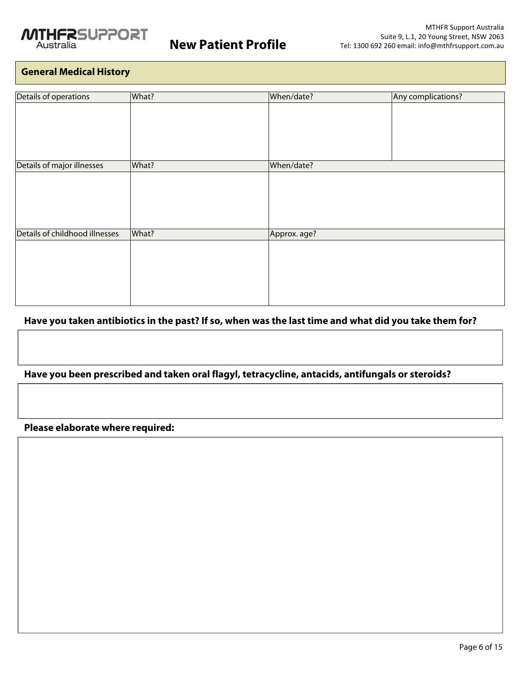

# **General Medical History**

| Details of operations          | What? | When/date?   | Any complications? |
|--------------------------------|-------|--------------|--------------------|
|                                |       |              |                    |
|                                |       |              |                    |
|                                |       |              |                    |
|                                |       |              |                    |
|                                |       |              |                    |
| Details of major illnesses     | What? | When/date?   |                    |
|                                |       |              |                    |
|                                |       |              |                    |
|                                |       |              |                    |
|                                |       |              |                    |
|                                |       |              |                    |
| Details of childhood illnesses | What? | Approx. age? |                    |
|                                |       |              |                    |
|                                |       |              |                    |
|                                |       |              |                    |
|                                |       |              |                    |
|                                |       |              |                    |
|                                |       |              |                    |

# **Have you taken antibiotics in the past? If so, when was the last time and what did you take them for?**

# **Have you been prescribed and taken oral flagyl, tetracycline, antacids, antifungals or steroids?**

## **Please elaborate where required:**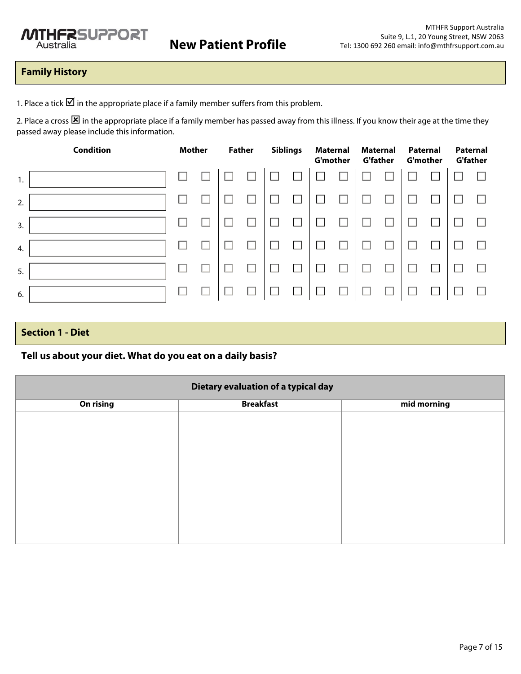# **Family History**

1. Place a tick  $\boxtimes$  in the appropriate place if a family member suffers from this problem.

2. Place a cross  $\boxtimes$  in the appropriate place if a family member has passed away from this illness. If you know their age at the time they passed away please include this information.

| <b>Condition</b> |  | <b>Mother</b> |  | <b>Father</b> |              | <b>Siblings</b><br><b>Maternal</b><br><b>G'mother</b> |  | <b>Maternal</b><br><b>G'father</b> |  | Paternal<br><b>G'mother</b> |  | Paternal<br><b>G'father</b> |  |
|------------------|--|---------------|--|---------------|--------------|-------------------------------------------------------|--|------------------------------------|--|-----------------------------|--|-----------------------------|--|
| 1.               |  |               |  |               |              |                                                       |  |                                    |  |                             |  |                             |  |
| 2.               |  |               |  |               |              |                                                       |  |                                    |  |                             |  |                             |  |
| 3.               |  |               |  |               |              |                                                       |  |                                    |  |                             |  |                             |  |
| 4.               |  |               |  |               |              |                                                       |  |                                    |  |                             |  |                             |  |
| 5.               |  |               |  |               |              |                                                       |  |                                    |  |                             |  |                             |  |
| 6.               |  |               |  |               | $\mathbf{L}$ |                                                       |  |                                    |  |                             |  |                             |  |
|                  |  |               |  |               |              |                                                       |  |                                    |  |                             |  |                             |  |

# **Section 1 - Diet**

## **Tell us about your diet. What do you eat on a daily basis?**

| Dietary evaluation of a typical day |                  |             |  |
|-------------------------------------|------------------|-------------|--|
| On rising                           | <b>Breakfast</b> | mid morning |  |
|                                     |                  |             |  |
|                                     |                  |             |  |
|                                     |                  |             |  |
|                                     |                  |             |  |
|                                     |                  |             |  |
|                                     |                  |             |  |
|                                     |                  |             |  |
|                                     |                  |             |  |
|                                     |                  |             |  |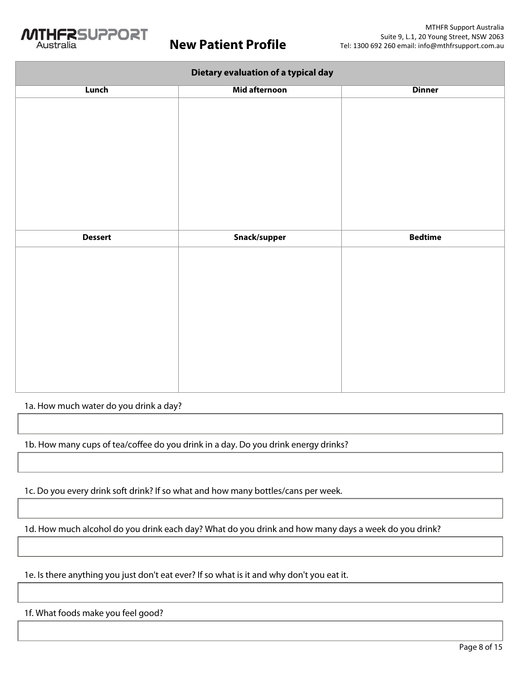

| Dietary evaluation of a typical day |               |                |
|-------------------------------------|---------------|----------------|
| Lunch                               | Mid afternoon | <b>Dinner</b>  |
|                                     |               |                |
|                                     |               |                |
|                                     |               |                |
|                                     |               |                |
|                                     |               |                |
|                                     |               |                |
|                                     |               |                |
|                                     |               |                |
|                                     |               |                |
|                                     |               |                |
|                                     |               |                |
| <b>Dessert</b>                      | Snack/supper  | <b>Bedtime</b> |
|                                     |               |                |
|                                     |               |                |
|                                     |               |                |
|                                     |               |                |
|                                     |               |                |
|                                     |               |                |
|                                     |               |                |
|                                     |               |                |
|                                     |               |                |
|                                     |               |                |

1a. How much water do you drink a day?

1b. How many cups of tea/coffee do you drink in a day. Do you drink energy drinks?

1c. Do you every drink soft drink? If so what and how many bottles/cans per week.

1d. How much alcohol do you drink each day? What do you drink and how many days a week do you drink?

1e. Is there anything you just don't eat ever? If so what is it and why don't you eat it.

1f. What foods make you feel good?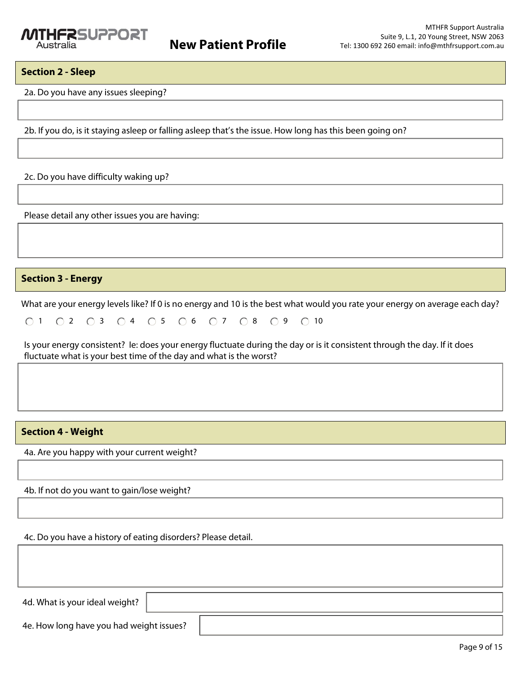### **Section 2 - Sleep**

2a. Do you have any issues sleeping?

2b. If you do, is it staying asleep or falling asleep that's the issue. How long has this been going on?

2c. Do you have difficulty waking up?

Please detail any other issues you are having:

### **Section 3 - Energy**

What are your energy levels like? If 0 is no energy and 10 is the best what would you rate your energy on average each day?

|  |  |  |  |  |  | 01 02 03 04 05 06 07 08 09 010 |  |  |  |
|--|--|--|--|--|--|--------------------------------|--|--|--|
|--|--|--|--|--|--|--------------------------------|--|--|--|

Is your energy consistent? Ie: does your energy fluctuate during the day or is it consistent through the day. If it does fluctuate what is your best time of the day and what is the worst?

### **Section 4 - Weight**

4a. Are you happy with your current weight?

4b. If not do you want to gain/lose weight?

4c. Do you have a history of eating disorders? Please detail.

4d. What is your ideal weight?

4e. How long have you had weight issues?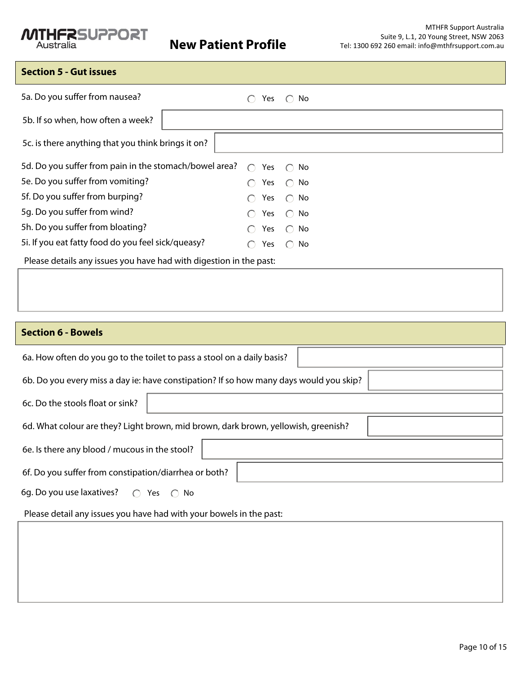# **MTHFRSUPPORT**

# **Section 5 - Gut issues**

| 5a. Do you suffer from nausea?                                     | Yes                                                  | $\bigcirc$ No    |
|--------------------------------------------------------------------|------------------------------------------------------|------------------|
| 5b. If so when, how often a week?                                  |                                                      |                  |
| 5c. is there anything that you think brings it on?                 |                                                      |                  |
| 5d. Do you suffer from pain in the stomach/bowel area?             | $\cap$                                               | Yes $\bigcap$ No |
| 5e. Do you suffer from vomiting?                                   | Yes                                                  | ∩ No             |
| 5f. Do you suffer from burping?                                    | Yes<br>$\left( \begin{array}{c} \end{array} \right)$ | ∴ No             |
| 5g. Do you suffer from wind?                                       | Yes<br>$\left( \begin{array}{c} \end{array} \right)$ | $\bigcirc$ No    |
| 5h. Do you suffer from bloating?                                   | Yes                                                  | $\bigcirc$ No    |
| 5i. If you eat fatty food do you feel sick/queasy?                 | Yes                                                  | $\bigcirc$ No    |
| Please details any issues you have had with digestion in the past: |                                                      |                  |
|                                                                    |                                                      |                  |

# **Section 6 - Bowels**

| 6a. How often do you go to the toilet to pass a stool on a daily basis?                |  |  |  |  |
|----------------------------------------------------------------------------------------|--|--|--|--|
| 6b. Do you every miss a day ie: have constipation? If so how many days would you skip? |  |  |  |  |
| 6c. Do the stools float or sink?                                                       |  |  |  |  |
| 6d. What colour are they? Light brown, mid brown, dark brown, yellowish, greenish?     |  |  |  |  |
| 6e. Is there any blood / mucous in the stool?                                          |  |  |  |  |
| 6f. Do you suffer from constipation/diarrhea or both?                                  |  |  |  |  |
| 6g. Do you use laxatives? $\bigcirc$ Yes $\bigcirc$<br>No.                             |  |  |  |  |

Please detail any issues you have had with your bowels in the past: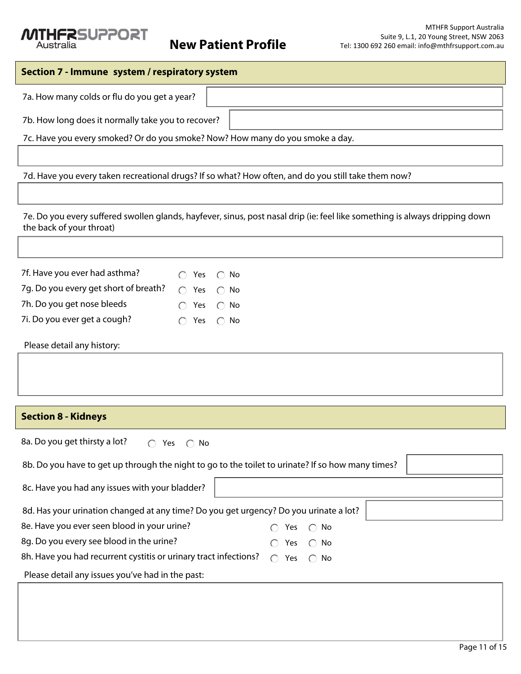# **NTHERSUPPORT**

# **Section 7 - Immune system / respiratory system** 7a. How many colds or flu do you get a year? 7b. How long does it normally take you to recover? 7c. Have you every smoked? Or do you smoke? Now? How many do you smoke a day. 7d. Have you every taken recreational drugs? If so what? How often, and do you still take them now? 7e. Do you every suffered swollen glands, hayfever, sinus, post nasal drip (ie: feel like something is always dripping down the back of your throat) 7f. Have you ever had asthma?  $\bigcirc$  Yes  $\bigcirc$  No 7g. Do you every get short of breath?  $\bigcirc$  Yes  $\bigcirc$  No 7h. Do you get nose bleeds  $\bigcirc$  Yes  $\bigcirc$  No 7i. Do you ever get a cough?  $\bigcirc$  Yes  $\bigcirc$  No Please detail any history: **Section 8 - Kidneys** 8a. Do you get thirsty a lot?  $\bigcirc$  Yes  $\bigcirc$  No 8b. Do you have to get up through the night to go to the toilet to urinate? If so how many times? 8c. Have you had any issues with your bladder? 8d. Has your urination changed at any time? Do you get urgency? Do you urinate a lot? 8e. Have you ever seen blood in your urine?  $\bigcirc$  Yes  $\bigcirc$  No 8g. Do you every see blood in the urine?  $\bigcirc$  Yes  $\bigcirc$  No 8h. Have you had recurrent cystitis or urinary tract infections?  $\bigcirc$  Yes  $\bigcirc$  No Please detail any issues you've had in the past: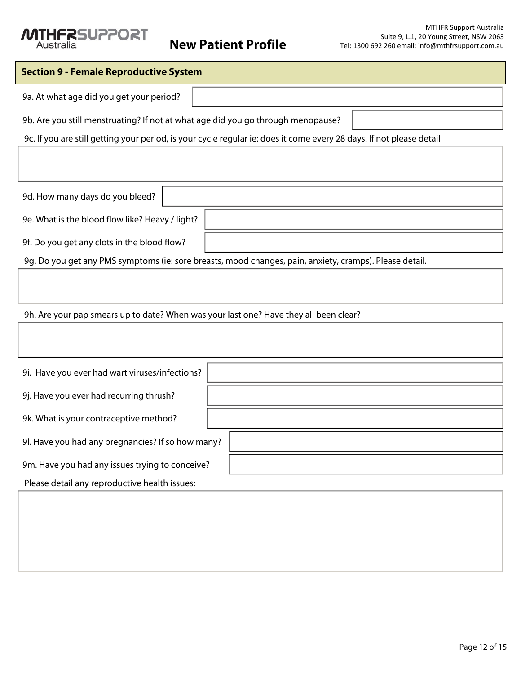## *NTHERSUPPORT* Australia

# **Section 9 - Female Reproductive System** 9a. At what age did you get your period? 9b. Are you still menstruating? If not at what age did you go through menopause? 9c. If you are still getting your period, is your cycle regular ie: does it come every 28 days. If not please detail 9d. How many days do you bleed? 9e. What is the blood flow like? Heavy / light? 9f. Do you get any clots in the blood flow?

9g. Do you get any PMS symptoms (ie: sore breasts, mood changes, pain, anxiety, cramps). Please detail.

9h. Are your pap smears up to date? When was your last one? Have they all been clear?

| 9i. Have you ever had wart viruses/infections?    |  |
|---------------------------------------------------|--|
| 9j. Have you ever had recurring thrush?           |  |
| 9k. What is your contraceptive method?            |  |
| 9l. Have you had any pregnancies? If so how many? |  |
| 9m. Have you had any issues trying to conceive?   |  |
| Please detail any reproductive health issues:     |  |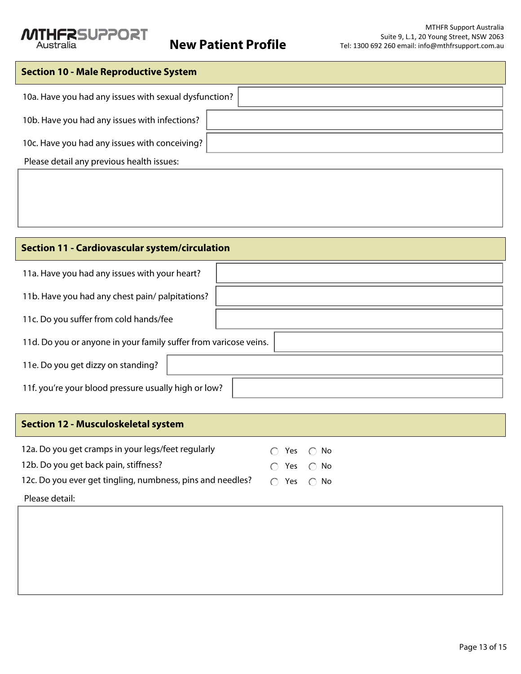

| <b>Section 10 - Male Reproductive System</b>          |  |  |
|-------------------------------------------------------|--|--|
| 10a. Have you had any issues with sexual dysfunction? |  |  |
| 10b. Have you had any issues with infections?         |  |  |
| 10c. Have you had any issues with conceiving?         |  |  |
| Please detail any previous health issues:             |  |  |

# **Section 11 - Cardiovascular system/circulation**

| 11a. Have you had any issues with your heart?                    |  |
|------------------------------------------------------------------|--|
| 11b. Have you had any chest pain/ palpitations?                  |  |
| 11c. Do you suffer from cold hands/fee                           |  |
| 11d. Do you or anyone in your family suffer from varicose veins. |  |
| 11e. Do you get dizzy on standing?                               |  |
| 11f. you're your blood pressure usually high or low?             |  |

# **Section 12 - Musculoskeletal system**

| 12a. Do you get cramps in your legs/feet regularly                                      | $\cap$ Yes $\cap$ No       |  |
|-----------------------------------------------------------------------------------------|----------------------------|--|
| 12b. Do you get back pain, stiffness?                                                   | $\bigcap$ Yes $\bigcap$ No |  |
| 12c. Do you ever get tingling, numbness, pins and needles? $\bigcirc$ Yes $\bigcirc$ No |                            |  |
| Please detail:                                                                          |                            |  |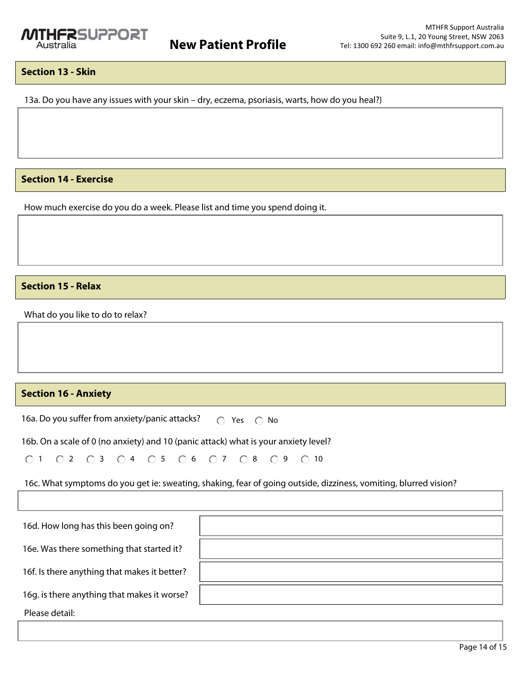# **Section 13 - Skin**

13a. Do you have any issues with your skin – dry, eczema, psoriasis, warts, how do you heal?)

**Section 14 - Exercise**

How much exercise do you do a week. Please list and time you spend doing it.

# **Section 15 - Relax**

What do you like to do to relax?

# **Section 16 - Anxiety**

16a. Do you suffer from anxiety/panic attacks?  $\bigcirc$  Yes  $\bigcirc$  No

16b. On a scale of 0 (no anxiety) and 10 (panic attack) what is your anxiety level?

0 1 0 2 0 3 0 4 0 5 0 6 0 7 0 8 0 9 0 10

16c. What symptoms do you get ie: sweating, shaking, fear of going outside, dizziness, vomiting, blurred vision?

| 16d. How long has this been going on?        |  |
|----------------------------------------------|--|
| 16e. Was there something that started it?    |  |
| 16f. Is there anything that makes it better? |  |
| 16g. is there anything that makes it worse?  |  |
| Please detail:                               |  |